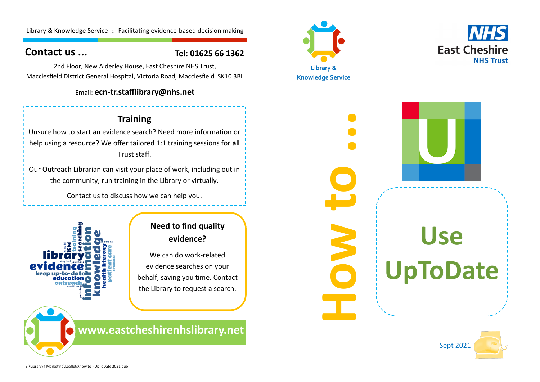Library & Knowledge Service :: Facilitating evidence-based decision making

### **Contact us ...**

### **Tel: 01625 66 1362**

2nd Floor, New Alderley House, East Cheshire NHS Trust, Macclesfield District General Hospital, Victoria Road, Macclesfield SK10 3BL

### Email: **ecn-tr.stafflibrary@nhs.net**



## **Training**

Unsure how to start an evidence search? Need more information or help using a resource? We offer tailored 1:1 training sessions for **all**  Trust staff.

Our Outreach Librarian can visit your place of work, including out in the community, run training in the Library or virtually.

Contact us to discuss how we can help you.

### **Need to find quality evidence?**

We can do work-related evidence searches on your behalf, saving you time. Contact the Library to request a search.

**www.eastcheshirenhslibrary.net**